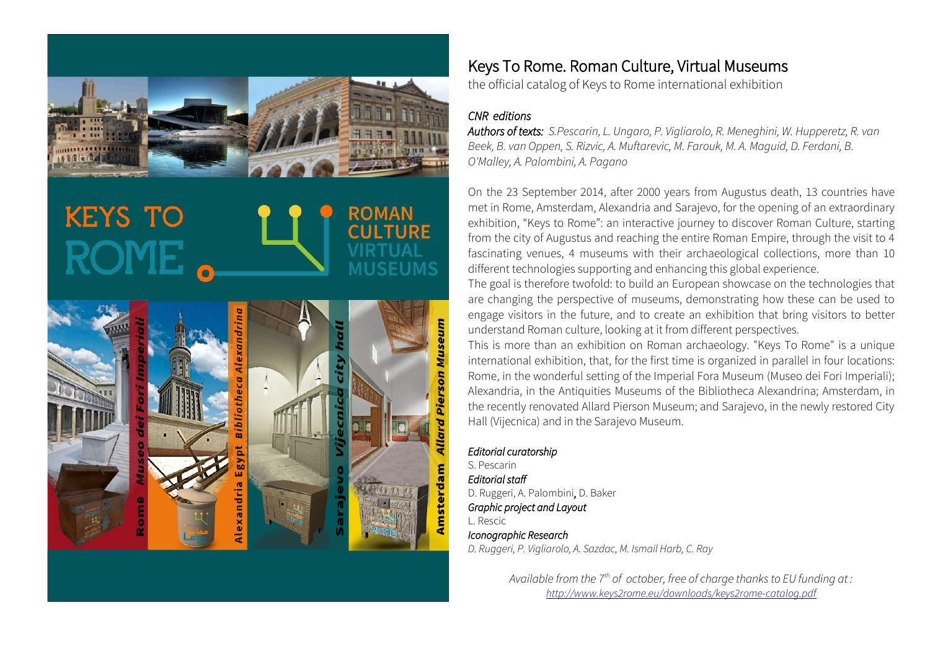

# **KEYS TO**



# Keys To Rome. Roman Culture, Virtual Museums

the official catalog of Keys to Rome international exhibition

## CNR editions

Authors of texts: S.Pescarin, L. Ungaro, P. Vigliarolo, R. Meneghini, W. Hupperetz, R. van Beek, B. van Oppen, S. Rizvic, A. Muftarevic, M. Farouk, M. A. Maguid, D. Ferdani, B. O'Malley, A. Palombini, A. Pagano

On the 23 September 2014, after 2000 years from Augustus death, 13 countries have met in Rome, Amsterdam, Alexandria and Sarajevo, for the opening of an extraordinary exhibition, "Keys to Rome": an interactive journey to discover Roman Culture, starting from the city of Augustus and reaching the entire Roman Empire, through the visit to 4 fascinating venues, 4 museums with their archaeological collections, more than 10 different technologies supporting and enhancing this global experience.

The goal is therefore twofold: to build an European showcase on the technologies that are changing the perspective of museums, demonstrating how these can be used to engage visitors in the future, and to create an exhibition that bring visitors to better understand Roman culture, looking at it from different perspectives.

This is more than an exhibition on Roman archaeology. "Keys To Rome" is a unique international exhibition, that, for the first time is organized in parallel in four locations: Rome, in the wonderful setting of the Imperial Fora Museum (Museo dei Fori Imperiali); Alexandria, in the Antiquities Museums of the Bibliotheca Alexandrina; Amsterdam, in the recently renovated Allard Pierson Museum; and Sarajevo, in the newly restored City Hall (Vijecnica) and in the Sarajevo Museum.

### Editorial curatorship

S. Pescarin Editorial staff D. Ruggeri, A. Palombini, D. Baker Graphic project and Layout L. Rescic Iconographic Research D. Ruggeri, P. Vigliarolo, A. Sazdac, M. Ismail Harb, C. Ray

> Available from the  $7<sup>th</sup>$  of october, free of charge thanks to EU funding at : <http://www.keys2rome.eu/downloads/keys2rome-catalog.pdf>